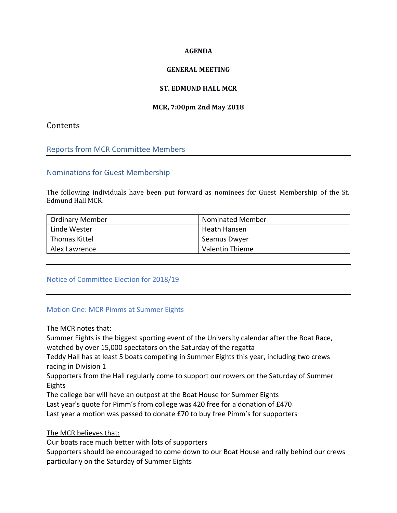#### **AGENDA**

### **GENERAL MEETING**

## **ST. EDMUND HALL MCR**

## **MCR, 7:00pm 2nd May 2018**

# **Contents**

## Reports from MCR Committee Members

## Nominations for Guest Membership

The following individuals have been put forward as nominees for Guest Membership of the St. Edmund Hall MCR:

| Ordinary Member | <b>Nominated Member</b> |
|-----------------|-------------------------|
| Linde Wester    | Heath Hansen            |
| Thomas Kittel   | Seamus Dwyer            |
| Alex Lawrence   | Valentin Thieme         |

### Notice of Committee Election for 2018/19

### Motion One: MCR Pimms at Summer Eights

### The MCR notes that:

Summer Eights is the biggest sporting event of the University calendar after the Boat Race, watched by over 15,000 spectators on the Saturday of the regatta

Teddy Hall has at least 5 boats competing in Summer Eights this year, including two crews racing in Division 1

Supporters from the Hall regularly come to support our rowers on the Saturday of Summer Eights

The college bar will have an outpost at the Boat House for Summer Eights

Last year's quote for Pimm's from college was 420 free for a donation of £470

Last year a motion was passed to donate £70 to buy free Pimm's for supporters

### The MCR believes that:

Our boats race much better with lots of supporters

Supporters should be encouraged to come down to our Boat House and rally behind our crews particularly on the Saturday of Summer Eights